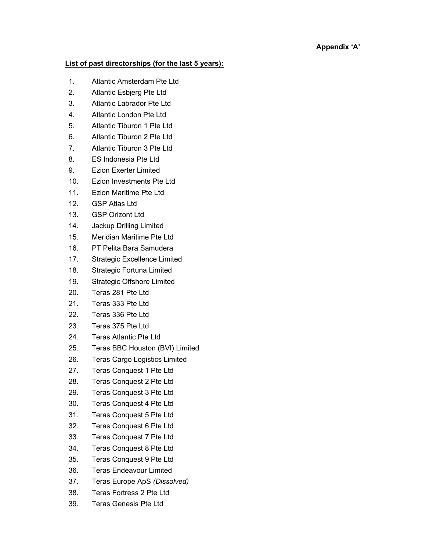## List of past directorships (for the last 5 years):

- 1. Atlantic Amsterdam Pte Ltd
- 2. Atlantic Esbjerg Pte Ltd
- 3. Atlantic Labrador Pte Ltd
- 4. Atlantic London Pte Ltd
- 5. Atlantic Tiburon 1 Pte Ltd
- 6. Atlantic Tiburon 2 Pte Ltd
- 7. Atlantic Tiburon 3 Pte Ltd
- 8. ES Indonesia Pte Ltd
- 9. Ezion Exerter Limited
- 10. Ezion Investments Pte Ltd
- 11. Ezion Maritime Pte Ltd
- 12. GSP Atlas Ltd
- 13. GSP Orizont Ltd
- 14. Jackup Drilling Limited
- 15. Meridian Maritime Pte Ltd
- 16. PT Pelita Bara Samudera
- 17. Strategic Excellence Limited
- 18. Strategic Fortuna Limited
- 19. Strategic Offshore Limited
- 20. Teras 281 Pte Ltd
- 21. Teras 333 Pte Ltd
- 22. Teras 336 Pte Ltd
- 23. Teras 375 Pte Ltd
- 24. Teras Atlantic Pte Ltd
- 25. Teras BBC Houston (BVI) Limited
- 26. Teras Cargo Logistics Limited
- 27. Teras Conquest 1 Pte Ltd
- 28. Teras Conquest 2 Pte Ltd
- 29. Teras Conquest 3 Pte Ltd
- 30. Teras Conquest 4 Pte Ltd
- 31. Teras Conquest 5 Pte Ltd
- 32. Teras Conquest 6 Pte Ltd
- 33. Teras Conquest 7 Pte Ltd
- 34. Teras Conquest 8 Pte Ltd
- 35. Teras Conquest 9 Pte Ltd
- 36. Teras Endeavour Limited
- 37. Teras Europe ApS (Dissolved)
- 38. Teras Fortress 2 Pte Ltd
- 39. Teras Genesis Pte Ltd